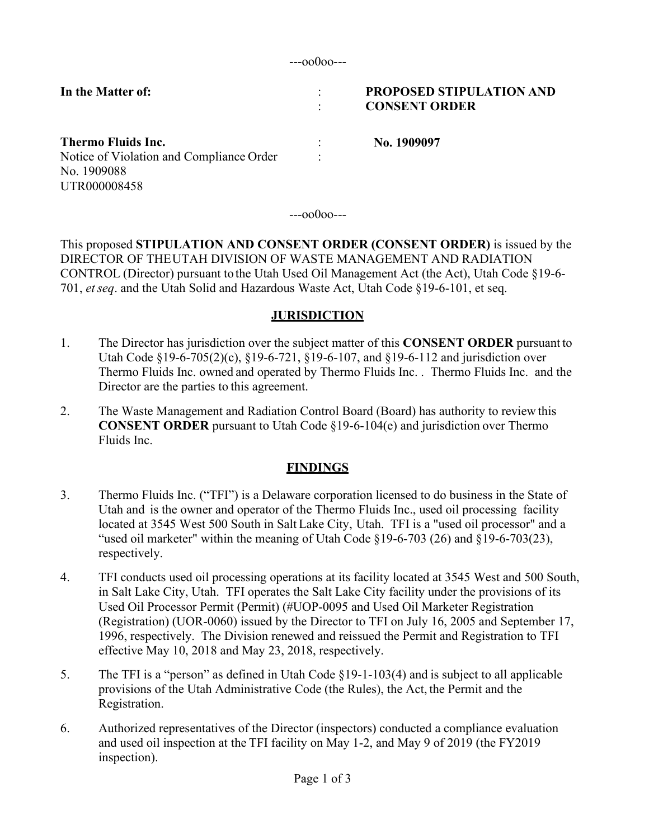:

**In the Matter of:** :

### **PROPOSED STIPULATION AND CONSENT ORDER**

**Thermo Fluids Inc.** Notice of Violation and Compliance Order No. 1909088 UTR000008458 : : **No. 1909097**

---oo0oo---

This proposed **STIPULATION AND CONSENT ORDER (CONSENT ORDER)** is issued by the DIRECTOR OF THEUTAH DIVISION OF WASTE MANAGEMENT AND RADIATION CONTROL (Director) pursuant to the Utah Used Oil Management Act (the Act), Utah Code §19-6- 701, *etseq*. and the Utah Solid and Hazardous Waste Act, Utah Code §19-6-101, et seq.

### **JURISDICTION**

- 1. The Director has jurisdiction over the subject matter of this **CONSENT ORDER** pursuant to Utah Code §19-6-705(2)(c), §19-6-721, §19-6-107, and §19-6-112 and jurisdiction over Thermo Fluids Inc. owned and operated by Thermo Fluids Inc. . Thermo Fluids Inc. and the Director are the parties to this agreement.
- 2. The Waste Management and Radiation Control Board (Board) has authority to review this **CONSENT ORDER** pursuant to Utah Code §19-6-104(e) and jurisdiction over Thermo Fluids Inc.

### **FINDINGS**

- 3. Thermo Fluids Inc. ("TFI") is a Delaware corporation licensed to do business in the State of Utah and is the owner and operator of the Thermo Fluids Inc., used oil processing facility located at 3545 West 500 South in Salt Lake City, Utah. TFI is a "used oil processor" and a "used oil marketer" within the meaning of Utah Code  $\S$ 19-6-703 (26) and  $\S$ 19-6-703(23), respectively.
- 4. TFI conducts used oil processing operations at its facility located at 3545 West and 500 South, in Salt Lake City, Utah. TFI operates the Salt Lake City facility under the provisions of its Used Oil Processor Permit (Permit) (#UOP-0095 and Used Oil Marketer Registration (Registration) (UOR-0060) issued by the Director to TFI on July 16, 2005 and September 17, 1996, respectively. The Division renewed and reissued the Permit and Registration to TFI effective May 10, 2018 and May 23, 2018, respectively.
- 5. The TFI is a "person" as defined in Utah Code §19-1-103(4) and is subject to all applicable provisions of the Utah Administrative Code (the Rules), the Act, the Permit and the Registration.
- 6. Authorized representatives of the Director (inspectors) conducted a compliance evaluation and used oil inspection at the TFI facility on May 1-2, and May 9 of 2019 (the FY2019 inspection).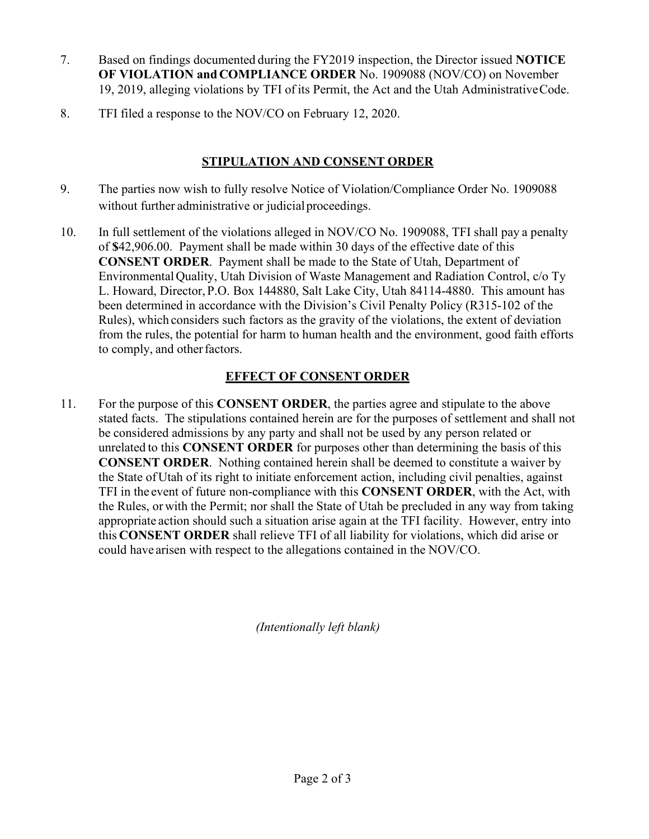- 7. Based on findings documented during the FY2019 inspection, the Director issued **NOTICE OF VIOLATION andCOMPLIANCE ORDER** No. 1909088 (NOV/CO) on November 19, 2019, alleging violations by TFI of its Permit, the Act and the Utah AdministrativeCode.
- 8. TFI filed a response to the NOV/CO on February 12, 2020.

## **STIPULATION AND CONSENT ORDER**

- 9. The parties now wish to fully resolve Notice of Violation/Compliance Order No. 1909088 without further administrative or judicial proceedings.
- 10. In full settlement of the violations alleged in NOV/CO No. 1909088, TFI shall pay a penalty of **\$**42,906.00. Payment shall be made within 30 days of the effective date of this **CONSENT ORDER**. Payment shall be made to the State of Utah, Department of EnvironmentalQuality, Utah Division of Waste Management and Radiation Control, c/o Ty L. Howard, Director, P.O. Box 144880, Salt Lake City, Utah 84114-4880. This amount has been determined in accordance with the Division's Civil Penalty Policy (R315-102 of the Rules), which considers such factors as the gravity of the violations, the extent of deviation from the rules, the potential for harm to human health and the environment, good faith efforts to comply, and other factors.

# **EFFECT OF CONSENT ORDER**

11. For the purpose of this **CONSENT ORDER**, the parties agree and stipulate to the above stated facts. The stipulations contained herein are for the purposes of settlement and shall not be considered admissions by any party and shall not be used by any person related or unrelated to this **CONSENT ORDER** for purposes other than determining the basis of this **CONSENT ORDER**. Nothing contained herein shall be deemed to constitute a waiver by the State of Utah of its right to initiate enforcement action, including civil penalties, against TFI in the event of future non-compliance with this **CONSENT ORDER**, with the Act, with the Rules, or with the Permit; nor shall the State of Utah be precluded in any way from taking appropriate action should such a situation arise again at the TFI facility. However, entry into this **CONSENT ORDER** shall relieve TFI of all liability for violations, which did arise or could have arisen with respect to the allegations contained in the NOV/CO.

*(Intentionally left blank)*